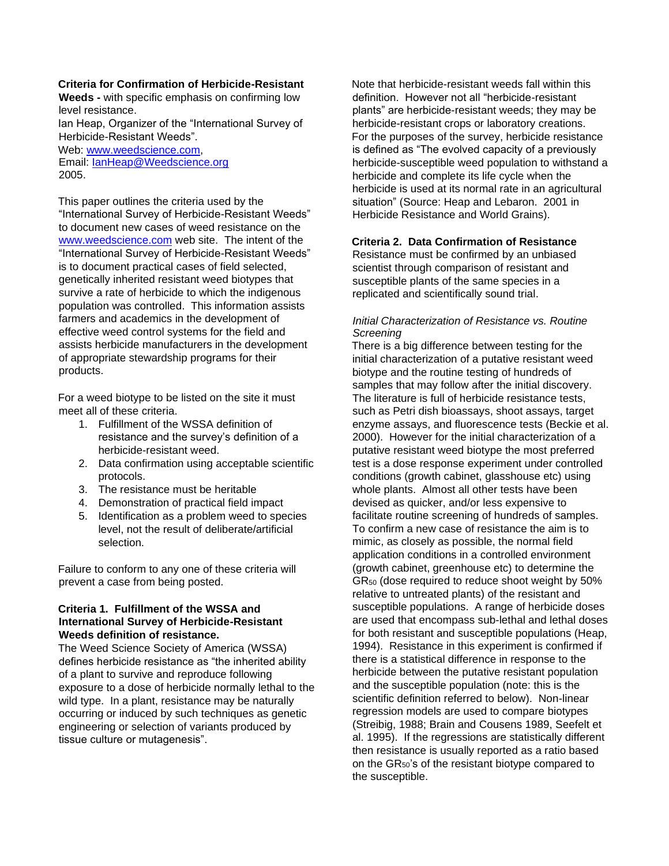#### **Criteria for Confirmation of Herbicide-Resistant**

**Weeds -** with specific emphasis on confirming low level resistance.

Ian Heap, Organizer of the "International Survey of Herbicide-Resistant Weeds".

Web: www.weedscience.com, Email: **lanHeap@Weedscience.org** 2005.

This paper outlines the criteria used by the "International Survey of Herbicide-Resistant Weeds" to document new cases of weed resistance on the www.weedscience.com web site. The intent of the "International Survey of Herbicide-Resistant Weeds" is to document practical cases of field selected, genetically inherited resistant weed biotypes that survive a rate of herbicide to which the indigenous population was controlled. This information assists farmers and academics in the development of effective weed control systems for the field and assists herbicide manufacturers in the development of appropriate stewardship programs for their products.

For a weed biotype to be listed on the site it must meet all of these criteria.

- 1. Fulfillment of the WSSA definition of resistance and the survey's definition of a herbicide-resistant weed.
- 2. Data confirmation using acceptable scientific protocols.
- 3. The resistance must be heritable
- 4. Demonstration of practical field impact
- 5. Identification as a problem weed to species level, not the result of deliberate/artificial selection.

Failure to conform to any one of these criteria will prevent a case from being posted.

### **Criteria 1. Fulfillment of the WSSA and International Survey of Herbicide-Resistant Weeds definition of resistance.**

The Weed Science Society of America (WSSA) defines herbicide resistance as "the inherited ability of a plant to survive and reproduce following exposure to a dose of herbicide normally lethal to the wild type. In a plant, resistance may be naturally occurring or induced by such techniques as genetic engineering or selection of variants produced by tissue culture or mutagenesis".

Note that herbicide-resistant weeds fall within this definition. However not all "herbicide-resistant plants" are herbicide-resistant weeds; they may be herbicide-resistant crops or laboratory creations. For the purposes of the survey, herbicide resistance is defined as "The evolved capacity of a previously herbicide-susceptible weed population to withstand a herbicide and complete its life cycle when the herbicide is used at its normal rate in an agricultural situation" (Source: Heap and Lebaron. 2001 in Herbicide Resistance and World Grains).

### **Criteria 2. Data Confirmation of Resistance**

Resistance must be confirmed by an unbiased scientist through comparison of resistant and susceptible plants of the same species in a replicated and scientifically sound trial.

### *Initial Characterization of Resistance vs. Routine Screening*

There is a big difference between testing for the initial characterization of a putative resistant weed biotype and the routine testing of hundreds of samples that may follow after the initial discovery. The literature is full of herbicide resistance tests, such as Petri dish bioassays, shoot assays, target enzyme assays, and fluorescence tests (Beckie et al. 2000). However for the initial characterization of a putative resistant weed biotype the most preferred test is a dose response experiment under controlled conditions (growth cabinet, glasshouse etc) using whole plants. Almost all other tests have been devised as quicker, and/or less expensive to facilitate routine screening of hundreds of samples. To confirm a new case of resistance the aim is to mimic, as closely as possible, the normal field application conditions in a controlled environment (growth cabinet, greenhouse etc) to determine the GR<sup>50</sup> (dose required to reduce shoot weight by 50% relative to untreated plants) of the resistant and susceptible populations. A range of herbicide doses are used that encompass sub-lethal and lethal doses for both resistant and susceptible populations (Heap, 1994). Resistance in this experiment is confirmed if there is a statistical difference in response to the herbicide between the putative resistant population and the susceptible population (note: this is the scientific definition referred to below). Non-linear regression models are used to compare biotypes (Streibig, 1988; Brain and Cousens 1989, Seefelt et al. 1995). If the regressions are statistically different then resistance is usually reported as a ratio based on the  $GR_{50}$ 's of the resistant biotype compared to the susceptible.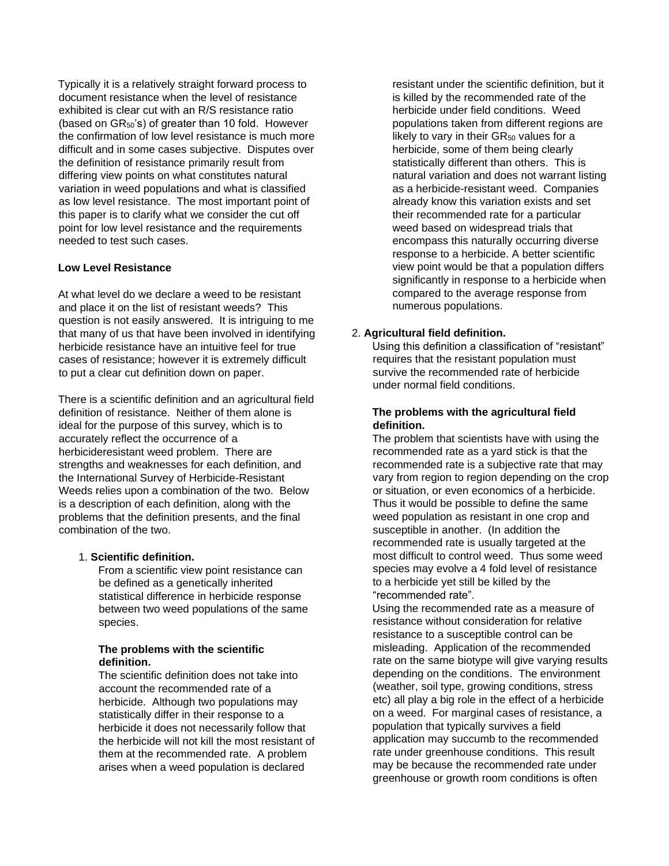Typically it is a relatively straight forward process to document resistance when the level of resistance exhibited is clear cut with an R/S resistance ratio (based on  $GR_{50}$ 's) of greater than 10 fold. However the confirmation of low level resistance is much more difficult and in some cases subjective. Disputes over the definition of resistance primarily result from differing view points on what constitutes natural variation in weed populations and what is classified as low level resistance. The most important point of this paper is to clarify what we consider the cut off point for low level resistance and the requirements needed to test such cases.

## **Low Level Resistance**

At what level do we declare a weed to be resistant and place it on the list of resistant weeds? This question is not easily answered. It is intriguing to me that many of us that have been involved in identifying herbicide resistance have an intuitive feel for true cases of resistance; however it is extremely difficult to put a clear cut definition down on paper.

There is a scientific definition and an agricultural field definition of resistance. Neither of them alone is ideal for the purpose of this survey, which is to accurately reflect the occurrence of a herbicideresistant weed problem. There are strengths and weaknesses for each definition, and the International Survey of Herbicide-Resistant Weeds relies upon a combination of the two. Below is a description of each definition, along with the problems that the definition presents, and the final combination of the two.

## 1. **Scientific definition.**

From a scientific view point resistance can be defined as a genetically inherited statistical difference in herbicide response between two weed populations of the same species.

## **The problems with the scientific definition.**

The scientific definition does not take into account the recommended rate of a herbicide. Although two populations may statistically differ in their response to a herbicide it does not necessarily follow that the herbicide will not kill the most resistant of them at the recommended rate. A problem arises when a weed population is declared

resistant under the scientific definition, but it is killed by the recommended rate of the herbicide under field conditions. Weed populations taken from different regions are likely to vary in their  $GR<sub>50</sub>$  values for a herbicide, some of them being clearly statistically different than others. This is natural variation and does not warrant listing as a herbicide-resistant weed. Companies already know this variation exists and set their recommended rate for a particular weed based on widespread trials that encompass this naturally occurring diverse response to a herbicide. A better scientific view point would be that a population differs significantly in response to a herbicide when compared to the average response from numerous populations.

# 2. **Agricultural field definition.**

Using this definition a classification of "resistant" requires that the resistant population must survive the recommended rate of herbicide under normal field conditions.

## **The problems with the agricultural field definition.**

The problem that scientists have with using the recommended rate as a yard stick is that the recommended rate is a subjective rate that may vary from region to region depending on the crop or situation, or even economics of a herbicide. Thus it would be possible to define the same weed population as resistant in one crop and susceptible in another. (In addition the recommended rate is usually targeted at the most difficult to control weed. Thus some weed species may evolve a 4 fold level of resistance to a herbicide yet still be killed by the "recommended rate".

Using the recommended rate as a measure of resistance without consideration for relative resistance to a susceptible control can be misleading. Application of the recommended rate on the same biotype will give varying results depending on the conditions. The environment (weather, soil type, growing conditions, stress etc) all play a big role in the effect of a herbicide on a weed. For marginal cases of resistance, a population that typically survives a field application may succumb to the recommended rate under greenhouse conditions. This result may be because the recommended rate under greenhouse or growth room conditions is often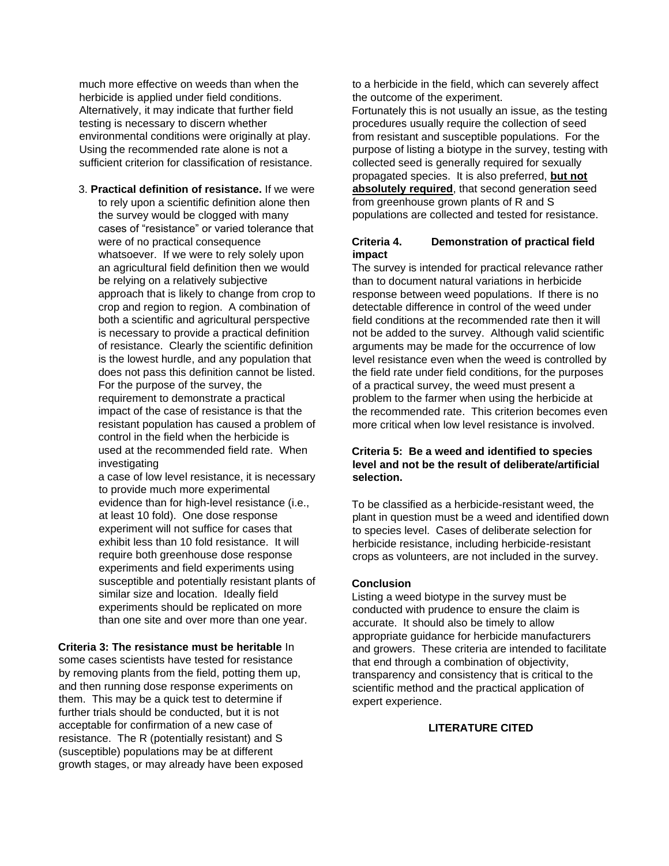much more effective on weeds than when the herbicide is applied under field conditions. Alternatively, it may indicate that further field testing is necessary to discern whether environmental conditions were originally at play. Using the recommended rate alone is not a sufficient criterion for classification of resistance.

3. **Practical definition of resistance.** If we were to rely upon a scientific definition alone then the survey would be clogged with many cases of "resistance" or varied tolerance that were of no practical consequence whatsoever. If we were to rely solely upon an agricultural field definition then we would be relying on a relatively subjective approach that is likely to change from crop to crop and region to region. A combination of both a scientific and agricultural perspective is necessary to provide a practical definition of resistance. Clearly the scientific definition is the lowest hurdle, and any population that does not pass this definition cannot be listed. For the purpose of the survey, the requirement to demonstrate a practical impact of the case of resistance is that the resistant population has caused a problem of control in the field when the herbicide is used at the recommended field rate. When investigating

a case of low level resistance, it is necessary to provide much more experimental evidence than for high-level resistance (i.e., at least 10 fold). One dose response experiment will not suffice for cases that exhibit less than 10 fold resistance. It will require both greenhouse dose response experiments and field experiments using susceptible and potentially resistant plants of similar size and location. Ideally field experiments should be replicated on more than one site and over more than one year.

### **Criteria 3: The resistance must be heritable** In

some cases scientists have tested for resistance by removing plants from the field, potting them up, and then running dose response experiments on them. This may be a quick test to determine if further trials should be conducted, but it is not acceptable for confirmation of a new case of resistance. The R (potentially resistant) and S (susceptible) populations may be at different growth stages, or may already have been exposed to a herbicide in the field, which can severely affect the outcome of the experiment.

Fortunately this is not usually an issue, as the testing procedures usually require the collection of seed from resistant and susceptible populations. For the purpose of listing a biotype in the survey, testing with collected seed is generally required for sexually propagated species. It is also preferred, **but not absolutely required**, that second generation seed from greenhouse grown plants of R and S populations are collected and tested for resistance.

### **Criteria 4. Demonstration of practical field impact**

The survey is intended for practical relevance rather than to document natural variations in herbicide response between weed populations. If there is no detectable difference in control of the weed under field conditions at the recommended rate then it will not be added to the survey. Although valid scientific arguments may be made for the occurrence of low level resistance even when the weed is controlled by the field rate under field conditions, for the purposes of a practical survey, the weed must present a problem to the farmer when using the herbicide at the recommended rate. This criterion becomes even more critical when low level resistance is involved.

### **Criteria 5: Be a weed and identified to species level and not be the result of deliberate/artificial selection.**

To be classified as a herbicide-resistant weed, the plant in question must be a weed and identified down to species level. Cases of deliberate selection for herbicide resistance, including herbicide-resistant crops as volunteers, are not included in the survey.

#### **Conclusion**

Listing a weed biotype in the survey must be conducted with prudence to ensure the claim is accurate. It should also be timely to allow appropriate guidance for herbicide manufacturers and growers. These criteria are intended to facilitate that end through a combination of objectivity, transparency and consistency that is critical to the scientific method and the practical application of expert experience.

## **LITERATURE CITED**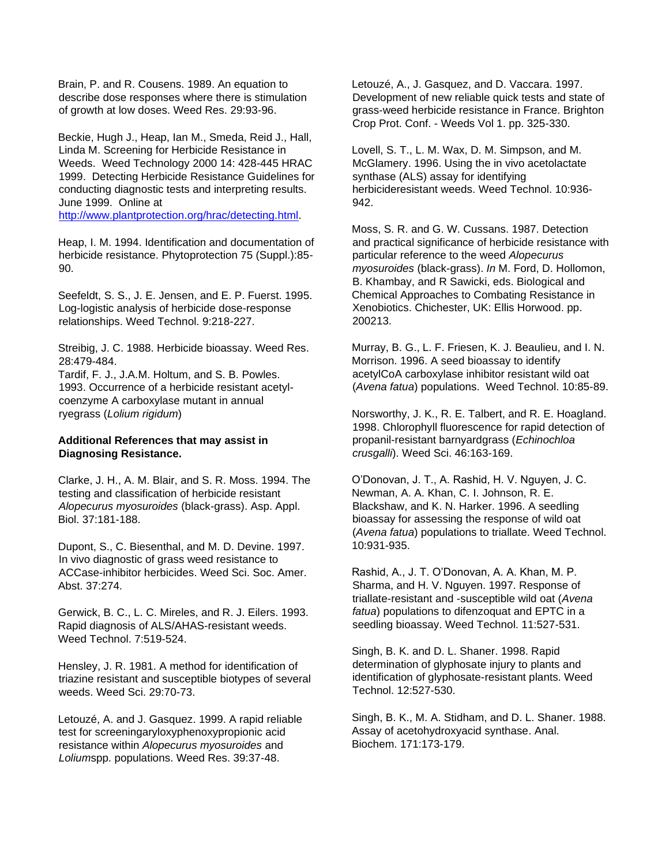Brain, P. and R. Cousens. 1989. An equation to describe dose responses where there is stimulation of growth at low doses. Weed Res. 29:93-96.

Beckie, Hugh J., Heap, Ian M., Smeda, Reid J., Hall, Linda M. Screening for Herbicide Resistance in Weeds. Weed Technology 2000 14: 428-445 HRAC 1999. Detecting Herbicide Resistance Guidelines for conducting diagnostic tests and interpreting results. June 1999. Online at http://www.plantprotection.org/hrac/detecting.html.

Heap, I. M. 1994. Identification and documentation of herbicide resistance. Phytoprotection 75 (Suppl.):85- 90.

Seefeldt, S. S., J. E. Jensen, and E. P. Fuerst. 1995. Log-logistic analysis of herbicide dose-response relationships. Weed Technol. 9:218-227.

Streibig, J. C. 1988. Herbicide bioassay. Weed Res. 28:479-484.

Tardif, F. J., J.A.M. Holtum, and S. B. Powles. 1993. Occurrence of a herbicide resistant acetylcoenzyme A carboxylase mutant in annual ryegrass (*Lolium rigidum*)

### **Additional References that may assist in Diagnosing Resistance.**

Clarke, J. H., A. M. Blair, and S. R. Moss. 1994. The testing and classification of herbicide resistant *Alopecurus myosuroides* (black-grass). Asp. Appl. Biol. 37:181-188.

Dupont, S., C. Biesenthal, and M. D. Devine. 1997. In vivo diagnostic of grass weed resistance to ACCase-inhibitor herbicides. Weed Sci. Soc. Amer. Abst. 37:274.

Gerwick, B. C., L. C. Mireles, and R. J. Eilers. 1993. Rapid diagnosis of ALS/AHAS-resistant weeds. Weed Technol. 7:519-524.

Hensley, J. R. 1981. A method for identification of triazine resistant and susceptible biotypes of several weeds. Weed Sci. 29:70-73.

Letouzé, A. and J. Gasquez. 1999. A rapid reliable test for screeningaryloxyphenoxypropionic acid resistance within *Alopecurus myosuroides* and *Lolium*spp. populations. Weed Res. 39:37-48.

Letouzé, A., J. Gasquez, and D. Vaccara. 1997. Development of new reliable quick tests and state of grass-weed herbicide resistance in France. Brighton Crop Prot. Conf. - Weeds Vol 1. pp. 325-330.

Lovell, S. T., L. M. Wax, D. M. Simpson, and M. McGlamery. 1996. Using the in vivo acetolactate synthase (ALS) assay for identifying herbicideresistant weeds. Weed Technol. 10:936- 942.

Moss, S. R. and G. W. Cussans. 1987. Detection and practical significance of herbicide resistance with particular reference to the weed *Alopecurus myosuroides* (black-grass). *In* M. Ford, D. Hollomon, B. Khambay, and R Sawicki, eds. Biological and Chemical Approaches to Combating Resistance in Xenobiotics. Chichester, UK: Ellis Horwood. pp. 200213.

Murray, B. G., L. F. Friesen, K. J. Beaulieu, and I. N. Morrison. 1996. A seed bioassay to identify acetylCoA carboxylase inhibitor resistant wild oat (*Avena fatua*) populations. Weed Technol. 10:85-89.

Norsworthy, J. K., R. E. Talbert, and R. E. Hoagland. 1998. Chlorophyll fluorescence for rapid detection of propanil-resistant barnyardgrass (*Echinochloa crusgalli*). Weed Sci. 46:163-169.

O'Donovan, J. T., A. Rashid, H. V. Nguyen, J. C. Newman, A. A. Khan, C. I. Johnson, R. E. Blackshaw, and K. N. Harker. 1996. A seedling bioassay for assessing the response of wild oat (*Avena fatua*) populations to triallate. Weed Technol. 10:931-935.

Rashid, A., J. T. O'Donovan, A. A. Khan, M. P. Sharma, and H. V. Nguyen. 1997. Response of triallate-resistant and -susceptible wild oat (*Avena fatua*) populations to difenzoquat and EPTC in a seedling bioassay. Weed Technol. 11:527-531.

Singh, B. K. and D. L. Shaner. 1998. Rapid determination of glyphosate injury to plants and identification of glyphosate-resistant plants. Weed Technol. 12:527-530.

Singh, B. K., M. A. Stidham, and D. L. Shaner. 1988. Assay of acetohydroxyacid synthase. Anal. Biochem. 171:173-179.